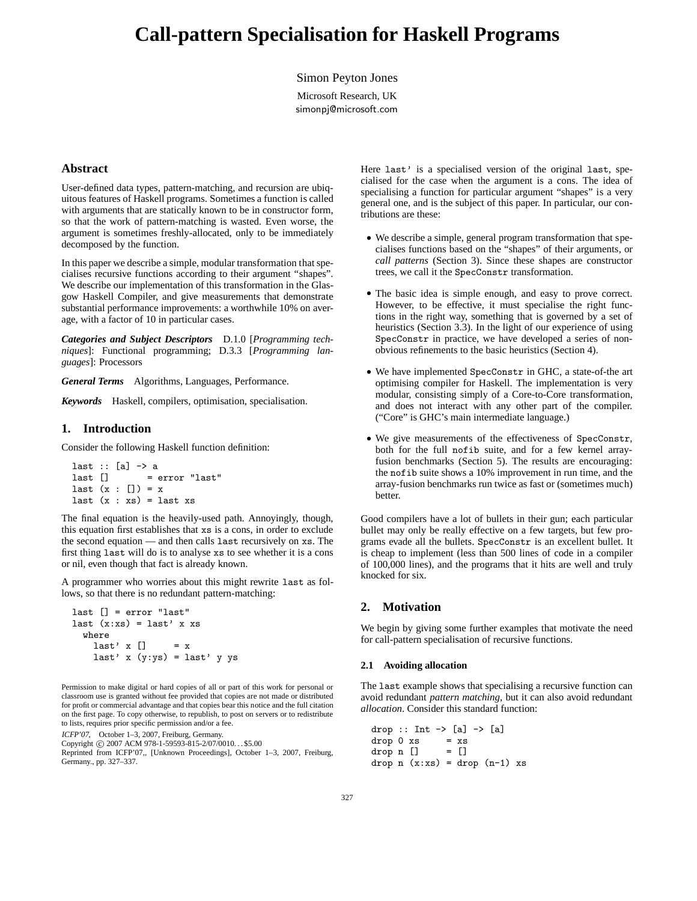# **Call-pattern Specialisation for Haskell Programs**

Simon Peyton Jones

Microsoft Research, UK simonpj@microsoft.com

# **Abstract**

User-defined data types, pattern-matching, and recursion are ubiquitous features of Haskell programs. Sometimes a function is called with arguments that are statically known to be in constructor form, so that the work of pattern-matching is wasted. Even worse, the argument is sometimes freshly-allocated, only to be immediately decomposed by the function.

In this paper we describe a simple, modular transformation that specialises recursive functions according to their argument "shapes". We describe our implementation of this transformation in the Glasgow Haskell Compiler, and give measurements that demonstrate substantial performance improvements: a worthwhile 10% on average, with a factor of 10 in particular cases.

*Categories and Subject Descriptors* D.1.0 [*Programming techniques*]: Functional programming; D.3.3 [*Programming languages*]: Processors

*General Terms* Algorithms, Languages, Performance.

*Keywords* Haskell, compilers, optimisation, specialisation.

#### **1. Introduction**

Consider the following Haskell function definition:

```
last :: [a] \rightarrow a
last [] = error "last"
last (x : [] ) = xlast (x : xs) = last xs
```
The final equation is the heavily-used path. Annoyingly, though, this equation first establishes that xs is a cons, in order to exclude the second equation — and then calls last recursively on xs. The first thing last will do is to analyse xs to see whether it is a cons or nil, even though that fact is already known.

A programmer who worries about this might rewrite last as follows, so that there is no redundant pattern-matching:

```
last [] = error "last"
last (x:xs) = last' x xswhere
   last' x [] = xlast' x (y:ys) = last' y ys
```
Permission to make digital or hard copies of all or part of this work for personal or classroom use is granted without fee provided that copies are not made or distributed for profit or commercial advantage and that copies bear this notice and the full citation on the first page. To copy otherwise, to republish, to post on servers or to redistribute to lists, requires prior specific permission and/or a fee.

ICFP'07, October 1–3, 2007, Freiburg, Germany.

Copyright © 2007 ACM 978-1-59593-815-2/07/0010... \$5.00

Reprinted from ICFP'07,, [Unknown Proceedings], October 1–3, 2007, Freiburg, Germany., pp. 327–337.

Here last' is a specialised version of the original last, specialised for the case when the argument is a cons. The idea of specialising a function for particular argument "shapes" is a very general one, and is the subject of this paper. In particular, our contributions are these:

- We describe a simple, general program transformation that specialises functions based on the "shapes" of their arguments, or *call patterns* (Section 3). Since these shapes are constructor trees, we call it the SpecConstr transformation.
- The basic idea is simple enough, and easy to prove correct. However, to be effective, it must specialise the right functions in the right way, something that is governed by a set of heuristics (Section 3.3). In the light of our experience of using SpecConstr in practice, we have developed a series of nonobvious refinements to the basic heuristics (Section 4).
- We have implemented SpecConstr in GHC, a state-of-the art optimising compiler for Haskell. The implementation is very modular, consisting simply of a Core-to-Core transformation, and does not interact with any other part of the compiler. ("Core" is GHC's main intermediate language.)
- We give measurements of the effectiveness of SpecConstr, both for the full nofib suite, and for a few kernel arrayfusion benchmarks (Section 5). The results are encouraging: the nofib suite shows a 10% improvement in run time, and the array-fusion benchmarks run twice as fast or (sometimes much) better.

Good compilers have a lot of bullets in their gun; each particular bullet may only be really effective on a few targets, but few programs evade all the bullets. SpecConstr is an excellent bullet. It is cheap to implement (less than 500 lines of code in a compiler of 100,000 lines), and the programs that it hits are well and truly knocked for six.

# **2. Motivation**

We begin by giving some further examples that motivate the need for call-pattern specialisation of recursive functions.

#### **2.1 Avoiding allocation**

The last example shows that specialising a recursive function can avoid redundant *pattern matching*, but it can also avoid redundant *allocation*. Consider this standard function:

```
drop :: Int \rightarrow [a] \rightarrow [a]
drop 0 xs = xsdrop n [] = []drop n(x:xs) = drop(n-1)xs
```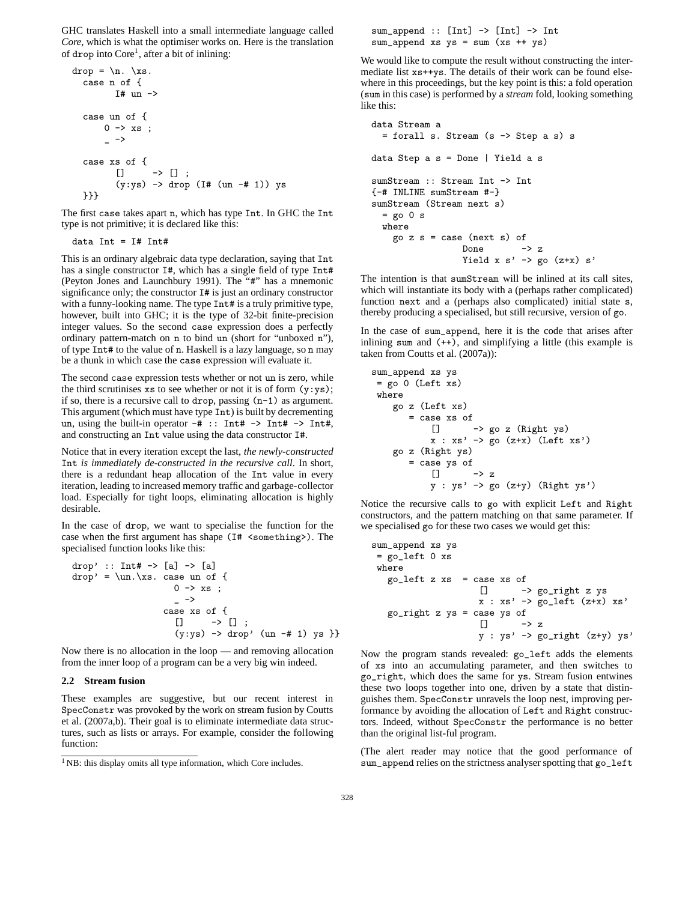GHC translates Haskell into a small intermediate language called *Core*, which is what the optimiser works on. Here is the translation of drop into Core<sup>1</sup>, after a bit of inlining:

```
drop = \n\cdot \xs.case n of {
             I# un \rightarrowcase un of {
          0 \rightarrow xs ;\overline{a} ->
   case xs of {
              \begin{array}{ccc} \square & & \rightarrow & \square & ; \end{array}(y:ys) \rightarrow drop (I# (un -# 1)) ys}}}
```
The first case takes apart n, which has type Int. In GHC the Int type is not primitive; it is declared like this:

data  $Int = If Int$ 

This is an ordinary algebraic data type declaration, saying that Int has a single constructor I#, which has a single field of type Int# (Peyton Jones and Launchbury 1991). The "#" has a mnemonic significance only; the constructor I# is just an ordinary constructor with a funny-looking name. The type Int# is a truly primitive type, however, built into GHC; it is the type of 32-bit finite-precision integer values. So the second case expression does a perfectly ordinary pattern-match on n to bind un (short for "unboxed n"), of type Int# to the value of n. Haskell is a lazy language, so n may be a thunk in which case the case expression will evaluate it.

The second case expression tests whether or not un is zero, while the third scrutinises  $xs$  to see whether or not it is of form  $(y:ys)$ ; if so, there is a recursive call to drop, passing (n-1) as argument. This argument (which must have type Int) is built by decrementing un, using the built-in operator  $-\#$  :: Int#  $\rightarrow$  Int#  $\rightarrow$  Int#, and constructing an Int value using the data constructor I#.

Notice that in every iteration except the last, *the newly-constructed* Int *is immediately de-constructed in the recursive call*. In short, there is a redundant heap allocation of the Int value in every iteration, leading to increased memory traffic and garbage-collector load. Especially for tight loops, eliminating allocation is highly desirable.

In the case of drop, we want to specialise the function for the case when the first argument has shape (I# <something>). The specialised function looks like this:

```
drop' :: Int# \rightarrow [a] \rightarrow [a]
drop' = \un.\xs. case un of {0 \rightarrow xs ;
                                   \overline{\phantom{0}} ->
                               case xs of {
                                   \begin{array}{ccc} \square & & \rightarrow & \square & ; \end{array}(y:ys) \rightarrow drop' (un -# 1) ys ?}
```
Now there is no allocation in the loop — and removing allocation from the inner loop of a program can be a very big win indeed.

#### **2.2 Stream fusion**

These examples are suggestive, but our recent interest in SpecConstr was provoked by the work on stream fusion by Coutts et al. (2007a,b). Their goal is to eliminate intermediate data structures, such as lists or arrays. For example, consider the following function:

sum\_append :: [Int] -> [Int] -> Int  $sum\_append$  xs  $ys = sum (xs ++ ys)$ 

We would like to compute the result without constructing the intermediate list xs++ys. The details of their work can be found elsewhere in this proceedings, but the key point is this: a fold operation (sum in this case) is performed by a *stream* fold, looking something like this:

```
data Stream a
  = forall s. Stream (s -> Step a s) s
data Step a s = Done | Yield a s
sumStream :: Stream Int -> Int
{-# INLINE sumStream #-}
sumStream (Stream next s)
  = go 0 s
  where
    go z s = case (next s) of
                  Done \rightarrow z
                  Yield x s' \rightarrow go (z+x) s'
```
The intention is that sumStream will be inlined at its call sites, which will instantiate its body with a (perhaps rather complicated) function next and a (perhaps also complicated) initial state s, thereby producing a specialised, but still recursive, version of go.

In the case of sum\_append, here it is the code that arises after inlining sum and  $(+)$ , and simplifying a little (this example is taken from Coutts et al. (2007a)):

```
sum_append xs ys
= go 0 (Left xs)
where
    go z (Left xs)
       = case xs of
           [] -> go z (Right ys)
           x : xs' -> go (z+x) (Left xs')
    go z (Right ys)
       = case ys of
           [] \longrightarrow zy : ys' \rightarrow go (z+y) (Right ys')
```
Notice the recursive calls to go with explicit Left and Right constructors, and the pattern matching on that same parameter. If we specialised go for these two cases we would get this:

```
sum_append xs ys
= go_left 0 xs
where
   go_left z xs = case xs of
                      [] -> go_right z ys
                      x : xs' \rightarrow go\_left ( z+x) xs'go_right z ys = caseys of [] ->
                                \rightarrow z
                       y : ys' \rightarrow go\_right (z+y) ys'
```
Now the program stands revealed: go\_left adds the elements of xs into an accumulating parameter, and then switches to go\_right, which does the same for ys. Stream fusion entwines these two loops together into one, driven by a state that distinguishes them. SpecConstr unravels the loop nest, improving performance by avoiding the allocation of Left and Right constructors. Indeed, without SpecConstr the performance is no better than the original list-ful program.

(The alert reader may notice that the good performance of sum\_append relies on the strictness analyser spotting that go\_left

<sup>&</sup>lt;sup>1</sup> NB: this display omits all type information, which Core includes.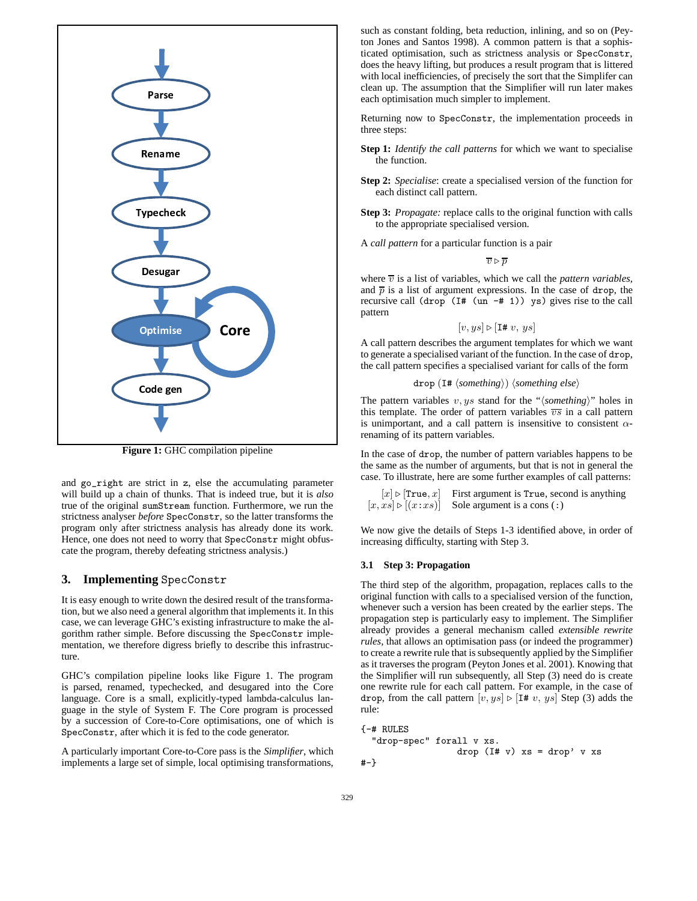

**Figure 1:** GHC compilation pipeline

and go\_right are strict in z, else the accumulating parameter will build up a chain of thunks. That is indeed true, but it is *also* true of the original sumStream function. Furthermore, we run the strictness analyser *before* SpecConstr, so the latter transforms the program only after strictness analysis has already done its work. Hence, one does not need to worry that SpecConstr might obfuscate the program, thereby defeating strictness analysis.)

# **3. Implementing** SpecConstr

It is easy enough to write down the desired result of the transformation, but we also need a general algorithm that implements it. In this case, we can leverage GHC's existing infrastructure to make the algorithm rather simple. Before discussing the SpecConstr implementation, we therefore digress briefly to describe this infrastructure.

GHC's compilation pipeline looks like Figure 1. The program is parsed, renamed, typechecked, and desugared into the Core language. Core is a small, explicitly-typed lambda-calculus language in the style of System F. The Core program is processed by a succession of Core-to-Core optimisations, one of which is SpecConstr, after which it is fed to the code generator.

A particularly important Core-to-Core pass is the *Simplifier*, which implements a large set of simple, local optimising transformations,

such as constant folding, beta reduction, inlining, and so on (Peyton Jones and Santos 1998). A common pattern is that a sophisticated optimisation, such as strictness analysis or SpecConstr, does the heavy lifting, but produces a result program that is littered with local inefficiencies, of precisely the sort that the Simplifer can clean up. The assumption that the Simplifier will run later makes each optimisation much simpler to implement.

Returning now to SpecConstr, the implementation proceeds in three steps:

- **Step 1:** *Identify the call patterns* for which we want to specialise the function.
- **Step 2:** *Specialise*: create a specialised version of the function for each distinct call pattern.
- **Step 3:** *Propagate:* replace calls to the original function with calls to the appropriate specialised version.
- A *call pattern* for a particular function is a pair

 $\overline{v} \triangleright \overline{p}$ 

where  $\overline{v}$  is a list of variables, which we call the *pattern variables*, and  $\overline{p}$  is a list of argument expressions. In the case of drop, the recursive call (drop  $(I# (un -# 1))$  ys) gives rise to the call pattern

$$
[v, ys] \triangleright [\text{I# } v, ys]
$$

A call pattern describes the argument templates for which we want to generate a specialised variant of the function. In the case of drop, the call pattern specifies a specialised variant for calls of the form

```
drop (I# \langlesomething\rangle) \langlesomething else\rangle
```
The pattern variables  $v, ys$  stand for the " $\langle$ *something* $\rangle$ " holes in this template. The order of pattern variables  $\overline{vs}$  in a call pattern is unimportant, and a call pattern is insensitive to consistent  $\alpha$ renaming of its pattern variables.

In the case of drop, the number of pattern variables happens to be the same as the number of arguments, but that is not in general the case. To illustrate, here are some further examples of call patterns:

 $[x] \triangleright [True, x]$  First argument is True, second is anything  $[x, xs] \triangleright [(x:xs)]$  Sole argument is a cons (:)

We now give the details of Steps 1-3 identified above, in order of increasing difficulty, starting with Step 3.

## **3.1 Step 3: Propagation**

The third step of the algorithm, propagation, replaces calls to the original function with calls to a specialised version of the function, whenever such a version has been created by the earlier steps. The propagation step is particularly easy to implement. The Simplifier already provides a general mechanism called *extensible rewrite rules*, that allows an optimisation pass (or indeed the programmer) to create a rewrite rule that is subsequently applied by the Simplifier as it traverses the program (Peyton Jones et al. 2001). Knowing that the Simplifier will run subsequently, all Step (3) need do is create one rewrite rule for each call pattern. For example, in the case of drop, from the call pattern  $[v, ys] \triangleright [I# v, ys]$  Step (3) adds the rule:

{-# RULES

```
"drop-spec" forall v xs.
                  drop (I# v) xs = drop' v xs
#-}
```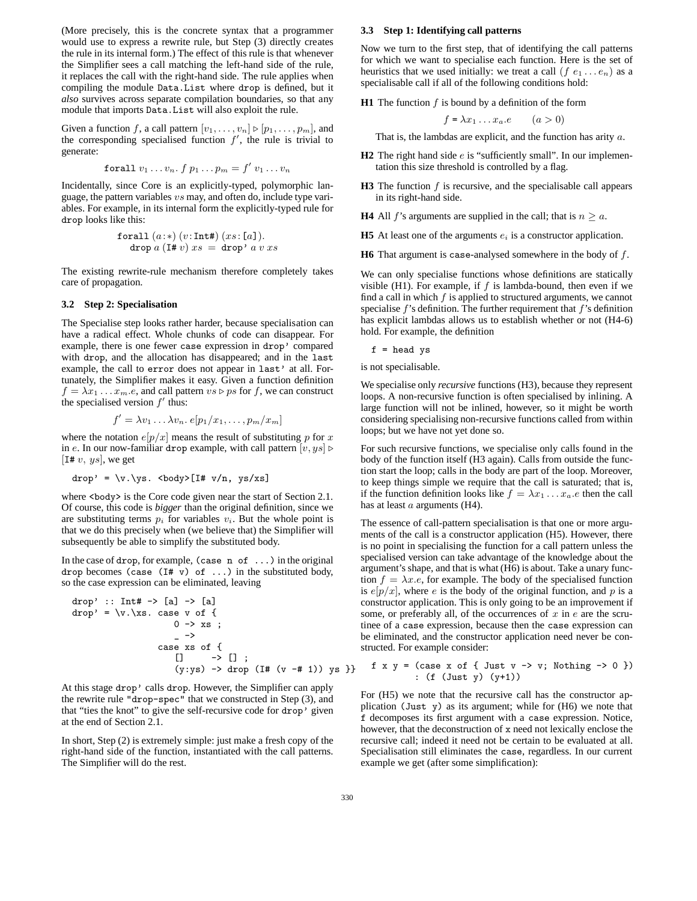(More precisely, this is the concrete syntax that a programmer would use to express a rewrite rule, but Step (3) directly creates the rule in its internal form.) The effect of this rule is that whenever the Simplifier sees a call matching the left-hand side of the rule, it replaces the call with the right-hand side. The rule applies when compiling the module Data.List where drop is defined, but it *also* survives across separate compilation boundaries, so that any module that imports Data.List will also exploit the rule.

Given a function f, a call pattern  $[v_1, \ldots, v_n] \triangleright [p_1, \ldots, p_m]$ , and the corresponding specialised function  $f'$ , the rule is trivial to generate:

$$
\textbf{for all } v_1 \ldots v_n \ldotp f \ p_1 \ldots p_m = f' \ v_1 \ldots v_n
$$

Incidentally, since Core is an explicitly-typed, polymorphic language, the pattern variables  $vs$  may, and often do, include type variables. For example, in its internal form the explicitly-typed rule for drop looks like this:

$$
\begin{array}{l}{\hbox{for all }(a)*)(v:\hbox{Int}\#)(xs:[a])}.
$$
  

$$
\hbox{drop }a\ ({\hbox{I}\#}\ v)\ xs\ =\ {\hbox{drop'}}\ a\ v\ xs\ \end{array}
$$

The existing rewrite-rule mechanism therefore completely takes care of propagation.

## **3.2 Step 2: Specialisation**

The Specialise step looks rather harder, because specialisation can have a radical effect. Whole chunks of code can disappear. For example, there is one fewer case expression in drop' compared with drop, and the allocation has disappeared; and in the last example, the call to error does not appear in last' at all. Fortunately, the Simplifier makes it easy. Given a function definition  $f = \lambda x_1 \dots x_m.e$ , and call pattern  $vs \triangleright ps$  for f, we can construct the specialised version  $f'$  thus:

$$
f' = \lambda v_1 \dots \lambda v_n. e[p_1/x_1, \dots, p_m/x_m]
$$

where the notation  $e[p/x]$  means the result of substituting p for x in e. In our now-familiar drop example, with call pattern  $[v, ys] \triangleright$ [I#  $v, ys$ ], we get

$$
drop' = \{v.\ys. < body\}[I# v/n, ys/xs]
$$

where <br/>body> is the Core code given near the start of Section 2.1. Of course, this code is *bigger* than the original definition, since we are substituting terms  $p_i$  for variables  $v_i$ . But the whole point is that we do this precisely when (we believe that) the Simplifier will subsequently be able to simplify the substituted body.

In the case of drop, for example, (case n of ...) in the original drop becomes (case  $(I# v)$  of ...) in the substituted body, so the case expression can be eliminated, leaving

drop' :: Int# -> [a] -> [a] drop' = \v.\xs. case v of { 0 -> xs ; \_ -> case xs of { [] -> [] ; (y:ys) -> drop (I# (v -# 1)) ys }}

At this stage drop' calls drop. However, the Simplifier can apply the rewrite rule "drop-spec" that we constructed in Step (3), and that "ties the knot" to give the self-recursive code for drop' given at the end of Section 2.1.

In short, Step (2) is extremely simple: just make a fresh copy of the right-hand side of the function, instantiated with the call patterns. The Simplifier will do the rest.

#### **3.3 Step 1: Identifying call patterns**

Now we turn to the first step, that of identifying the call patterns for which we want to specialise each function. Here is the set of heuristics that we used initially: we treat a call  $(f e_1 ... e_n)$  as a specialisable call if all of the following conditions hold:

**H1** The function  $f$  is bound by a definition of the form

$$
f = \lambda x_1 \dots x_a \cdot e \qquad (a > 0)
$$

That is, the lambdas are explicit, and the function has arity  $a$ .

- **H2** The right hand side *e* is "sufficiently small". In our implementation this size threshold is controlled by a flag.
- **H3** The function  $f$  is recursive, and the specialisable call appears in its right-hand side.
- **H4** All *f*'s arguments are supplied in the call; that is  $n \ge a$ .
- **H5** At least one of the arguments  $e_i$  is a constructor application.
- **H6** That argument is case-analysed somewhere in the body of f.

We can only specialise functions whose definitions are statically visible (H1). For example, if  $f$  is lambda-bound, then even if we find a call in which  $f$  is applied to structured arguments, we cannot specialise  $f$ 's definition. The further requirement that  $f$ 's definition has explicit lambdas allows us to establish whether or not (H4-6) hold. For example, the definition

 $f = head$  ys

is not specialisable.

We specialise only *recursive* functions (H3), because they represent loops. A non-recursive function is often specialised by inlining. A large function will not be inlined, however, so it might be worth considering specialising non-recursive functions called from within loops; but we have not yet done so.

For such recursive functions, we specialise only calls found in the body of the function itself (H3 again). Calls from outside the function start the loop; calls in the body are part of the loop. Moreover, to keep things simple we require that the call is saturated; that is, if the function definition looks like  $f = \lambda x_1 \dots x_a$ .  $e$  then the call has at least a arguments (H4).

The essence of call-pattern specialisation is that one or more arguments of the call is a constructor application (H5). However, there is no point in specialising the function for a call pattern unless the specialised version can take advantage of the knowledge about the argument's shape, and that is what (H6) is about. Take a unary function  $f = \lambda x.e$ , for example. The body of the specialised function is  $e[p/x]$ , where e is the body of the original function, and p is a constructor application. This is only going to be an improvement if some, or preferably all, of the occurrences of  $x$  in  $e$  are the scrutinee of a case expression, because then the case expression can be eliminated, and the constructor application need never be constructed. For example consider:

$$
f x y = (case x of { Just v -> v; Nothing -> 0 }) : (f (Just y) (y+1))
$$

For (H5) we note that the recursive call has the constructor application (Just y) as its argument; while for (H6) we note that f decomposes its first argument with a case expression. Notice, however, that the deconstruction of x need not lexically enclose the recursive call; indeed it need not be certain to be evaluated at all. Specialisation still eliminates the case, regardless. In our current example we get (after some simplification):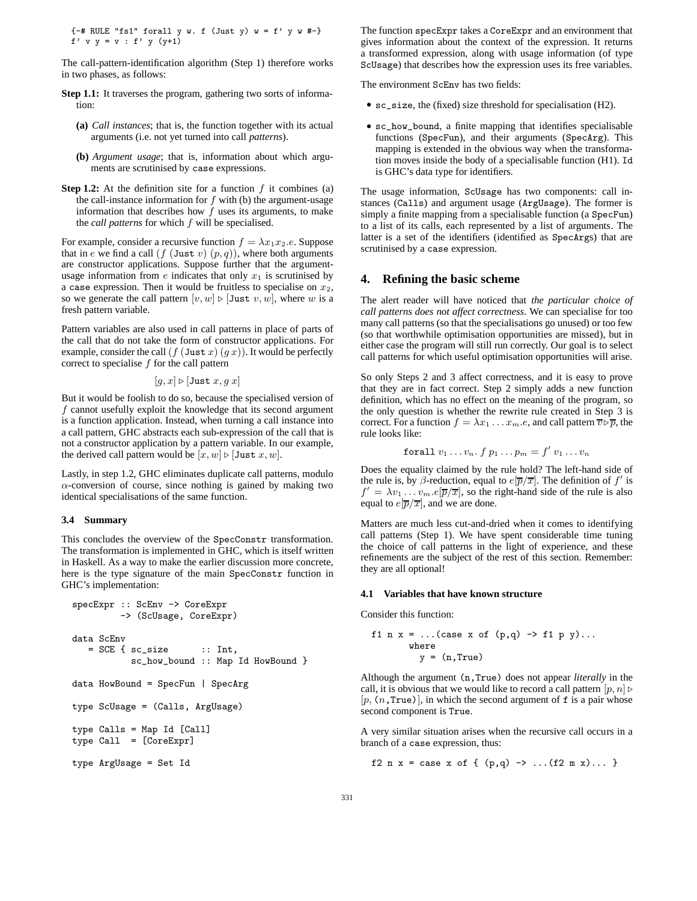{-# RULE "fs1" forall y w. f (Just y) w = f' y w #-} f'  $v = v : f' = (y+1)$ 

The call-pattern-identification algorithm (Step 1) therefore works in two phases, as follows:

- **Step 1.1:** It traverses the program, gathering two sorts of information:
	- **(a)** *Call instances*; that is, the function together with its actual arguments (i.e. not yet turned into call *patterns*).
	- **(b)** *Argument usage*; that is, information about which arguments are scrutinised by case expressions.
- **Step 1.2:** At the definition site for a function  $f$  it combines (a) the call-instance information for  $f$  with (b) the argument-usage information that describes how  $f$  uses its arguments, to make the *call patterns* for which f will be specialised.

For example, consider a recursive function  $f = \lambda x_1 x_2.e$ . Suppose that in e we find a call  $(f$  (Just  $v$ )  $(p, q)$ ), where both arguments are constructor applications. Suppose further that the argumentusage information from  $e$  indicates that only  $x_1$  is scrutinised by a case expression. Then it would be fruitless to specialise on  $x_2$ , so we generate the call pattern  $[v, w]$  ⊳ [Just  $v, w$ ], where w is a fresh pattern variable.

Pattern variables are also used in call patterns in place of parts of the call that do not take the form of constructor applications. For example, consider the call  $(f$  (Just  $x$ )  $(gx)$ ). It would be perfectly correct to specialise  $f$  for the call pattern

$$
[g, x] \triangleright [\texttt{Just } x, g \ x]
$$

But it would be foolish to do so, because the specialised version of f cannot usefully exploit the knowledge that its second argument is a function application. Instead, when turning a call instance into a call pattern, GHC abstracts each sub-expression of the call that is not a constructor application by a pattern variable. In our example, the derived call pattern would be  $[x, w] \triangleright [\text{Just } x, w]$ .

Lastly, in step 1.2, GHC eliminates duplicate call patterns, modulo  $\alpha$ -conversion of course, since nothing is gained by making two identical specialisations of the same function.

#### **3.4 Summary**

This concludes the overview of the SpecConstr transformation. The transformation is implemented in GHC, which is itself written in Haskell. As a way to make the earlier discussion more concrete, here is the type signature of the main SpecConstr function in GHC's implementation:

```
specExpr :: ScEnv -> CoreExpr
         -> (ScUsage, CoreExpr)
data ScEnv
  = SCE { sc_size :: Int,
          sc_how_bound :: Map Id HowBound }
data HowBound = SpecFun | SpecArg
type ScUsage = (Calls, ArgUsage)
type Calls = Map Id [Call]
type Call = [CoreExpr]
type ArgUsage = Set Id
```
The function specExpr takes a CoreExpr and an environment that gives information about the context of the expression. It returns a transformed expression, along with usage information (of type ScUsage) that describes how the expression uses its free variables.

The environment ScEnv has two fields:

- sc\_size, the (fixed) size threshold for specialisation (H2).
- sc\_how\_bound, a finite mapping that identifies specialisable functions (SpecFun), and their arguments (SpecArg). This mapping is extended in the obvious way when the transformation moves inside the body of a specialisable function (H1). Id is GHC's data type for identifiers.

The usage information, ScUsage has two components: call instances (Calls) and argument usage (ArgUsage). The former is simply a finite mapping from a specialisable function (a SpecFun) to a list of its calls, each represented by a list of arguments. The latter is a set of the identifiers (identified as SpecArgs) that are scrutinised by a case expression.

## **4. Refining the basic scheme**

The alert reader will have noticed that *the particular choice of call patterns does not affect correctness*. We can specialise for too many call patterns (so that the specialisations go unused) or too few (so that worthwhile optimisation opportunities are missed), but in either case the program will still run correctly. Our goal is to select call patterns for which useful optimisation opportunities will arise.

So only Steps 2 and 3 affect correctness, and it is easy to prove that they are in fact correct. Step 2 simply adds a new function definition, which has no effect on the meaning of the program, so the only question is whether the rewrite rule created in Step 3 is correct. For a function  $f = \lambda x_1 \dots x_m e$ , and call pattern  $\overline{v} \triangleright \overline{p}$ , the rule looks like:

$$
\textbf{for all } v_1 \ldots v_n \ldotp f \ p_1 \ldots p_m = f' \ v_1 \ldots v_n
$$

Does the equality claimed by the rule hold? The left-hand side of the rule is, by  $\beta$ -reduction, equal to  $e[\overline{p}/\overline{x}]$ . The definition of  $f'$  is  $f' = \lambda v_1 \dots v_m . e[\overline{p}/\overline{x}]$ , so the right-hand side of the rule is also equal to  $e[\overline{p}/\overline{x}]$ , and we are done.

Matters are much less cut-and-dried when it comes to identifying call patterns (Step 1). We have spent considerable time tuning the choice of call patterns in the light of experience, and these refinements are the subject of the rest of this section. Remember: they are all optional!

## **4.1 Variables that have known structure**

Consider this function:

$$
f1 n x = ... (case x of (p,q) \rightarrow f1 p y)...
$$
  
where  
 $y = (n, True)$ 

Although the argument (n,True) does not appear *literally* in the call, it is obvious that we would like to record a call pattern  $[p, n] \triangleright$  $[p, (n, True)]$ , in which the second argument of f is a pair whose second component is True.

A very similar situation arises when the recursive call occurs in a branch of a case expression, thus:

f2 n x = case x of {  $(p,q)$  -> ... $(f2 m x)$ ... }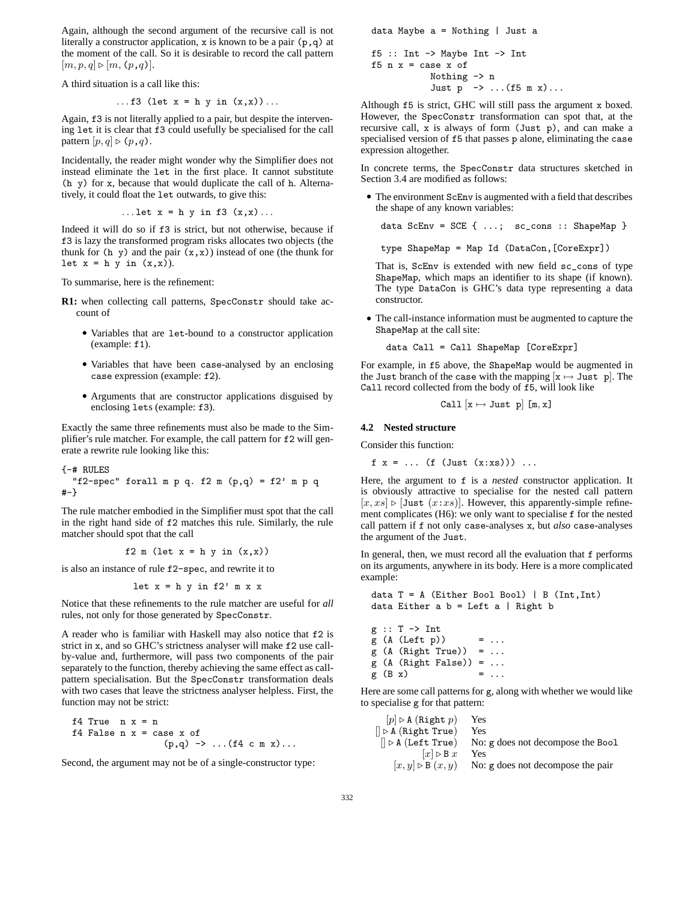Again, although the second argument of the recursive call is not literally a constructor application, x is known to be a pair (p,q) at the moment of the call. So it is desirable to record the call pattern  $[m, p, q] \triangleright [m, (p, q)].$ 

A third situation is a call like this:

...f3 (let 
$$
x = h y in (x,x)
$$
)....

Again, f3 is not literally applied to a pair, but despite the intervening let it is clear that f3 could usefully be specialised for the call pattern  $[p, q] \triangleright (p, q)$ .

Incidentally, the reader might wonder why the Simplifier does not instead eliminate the let in the first place. It cannot substitute (h y) for x, because that would duplicate the call of h. Alternatively, it could float the let outwards, to give this:

...let 
$$
x = h y
$$
 in f3  $(x,x)$ ...

Indeed it will do so if f3 is strict, but not otherwise, because if f3 is lazy the transformed program risks allocates two objects (the thunk for (h y) and the pair  $(x, x)$ ) instead of one (the thunk for let  $x = h y$  in  $(x,x)$ ).

To summarise, here is the refinement:

- **R1:** when collecting call patterns, SpecConstr should take account of
	- Variables that are let-bound to a constructor application (example: f1).
	- Variables that have been case-analysed by an enclosing case expression (example: f2).
	- Arguments that are constructor applications disguised by enclosing lets (example: f3).

Exactly the same three refinements must also be made to the Simplifier's rule matcher. For example, the call pattern for f2 will generate a rewrite rule looking like this:

{-# RULES "f2-spec" forall m p q. f2 m (p,q) = f2' m p q #-}

The rule matcher embodied in the Simplifier must spot that the call in the right hand side of f2 matches this rule. Similarly, the rule matcher should spot that the call

f2 m (let  $x = h y$  in  $(x,x)$ )

is also an instance of rule f2-spec, and rewrite it to

let  $x = h y$  in f2' m x x

Notice that these refinements to the rule matcher are useful for *all* rules, not only for those generated by SpecConstr.

A reader who is familiar with Haskell may also notice that f2 is strict in x, and so GHC's strictness analyser will make f2 use callby-value and, furthermore, will pass two components of the pair separately to the function, thereby achieving the same effect as callpattern specialisation. But the SpecConstr transformation deals with two cases that leave the strictness analyser helpless. First, the function may not be strict:

if 4 True 
$$
n x = n
$$

\nif 4 False  $n x = \text{case } x$  of

\n $(p,q) \rightarrow \ldots (f4 \text{ cm } x) \ldots$ 

Second, the argument may not be of a single-constructor type:

data Maybe a = Nothing | Just a f5 :: Int  $\rightarrow$  Maybe Int  $\rightarrow$  Int f5  $n$   $x$  = case  $x$  of Nothing -> n Just  $p \rightarrow \ldots (f5 \text{ m x}) \ldots$ 

Although f5 is strict, GHC will still pass the argument x boxed. However, the SpecConstr transformation can spot that, at the recursive call, x is always of form (Just p), and can make a specialised version of f5 that passes p alone, eliminating the case expression altogether.

In concrete terms, the SpecConstr data structures sketched in Section 3.4 are modified as follows:

• The environment ScEnv is augmented with a field that describes the shape of any known variables:

data  $ScEnv = SCE$  { ...;  $sc\_cons$  :: ShapeMap }

type ShapeMap = Map Id (DataCon,[CoreExpr])

That is, ScEnv is extended with new field sc\_cons of type ShapeMap, which maps an identifier to its shape (if known). The type DataCon is GHC's data type representing a data constructor.

• The call-instance information must be augmented to capture the ShapeMap at the call site:

data Call = Call ShapeMap [CoreExpr]

For example, in f5 above, the ShapeMap would be augmented in the Just branch of the case with the mapping  $[x \mapsto$  Just p. The Call record collected from the body of f5, will look like

$$
Call[x \mapsto Just p] [m, x]
$$

#### **4.2 Nested structure**

Consider this function:

 $f \ x = \dots (f (Just (x:xs))) \dots$ 

Here, the argument to f is a *nested* constructor application. It is obviously attractive to specialise for the nested call pattern  $[x, xs] \triangleright [Just (x:xs)].$  However, this apparently-simple refinement complicates (H6): we only want to specialise f for the nested call pattern if f not only case-analyses x, but *also* case-analyses the argument of the Just.

In general, then, we must record all the evaluation that f performs on its arguments, anywhere in its body. Here is a more complicated example:

```
data T = A (Either Bool Bool) | B (Int, Int)
data Either a b = Left a | Right b
```
 $g :: T \rightarrow Int$  $g (A (Left p)) = ...$  $g$  (A (Right True)) =  $\dots$  $g$  (A (Right False)) =  $\dots$  $g(B x) = ...$ 

Here are some call patterns for g, along with whether we would like to specialise g for that pattern:

| [p] ▶ A (Right p)  | Yes                                 |
|--------------------|-------------------------------------|
| □ ▶ A (Right True) | Yes                                 |
| □ ▶ A (Left True)  | No: g does not decompose the $Bool$ |
| [x] ▶ B x          | Yes                                 |
| [x, y] ▶ B (x, y)  | No: g does not decompose the pair   |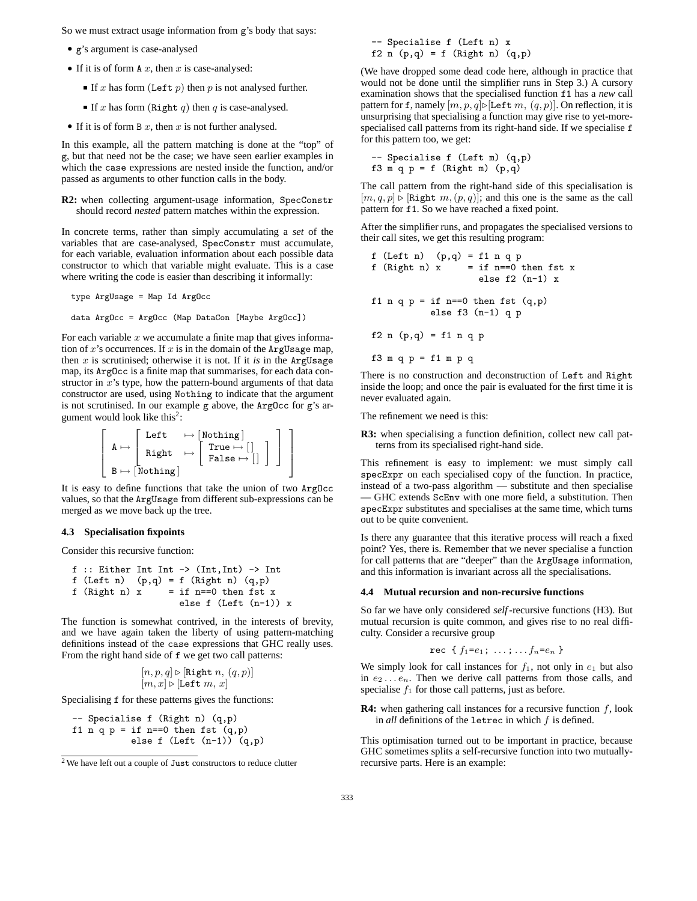So we must extract usage information from g's body that says:

- g's argument is case-analysed
- If it is of form  $A x$ , then  $x$  is case-analysed:
	- If x has form (Left p) then p is not analysed further.
	- If x has form (Right q) then q is case-analysed.
- If it is of form B  $x$ , then  $x$  is not further analysed.

In this example, all the pattern matching is done at the "top" of g, but that need not be the case; we have seen earlier examples in which the case expressions are nested inside the function, and/or passed as arguments to other function calls in the body.

**R2:** when collecting argument-usage information, SpecConstr should record *nested* pattern matches within the expression.

In concrete terms, rather than simply accumulating a *set* of the variables that are case-analysed, SpecConstr must accumulate, for each variable, evaluation information about each possible data constructor to which that variable might evaluate. This is a case where writing the code is easier than describing it informally:

type ArgUsage = Map Id ArgOcc

data ArgOcc = ArgOcc (Map DataCon [Maybe ArgOcc])

For each variable  $x$  we accumulate a finite map that gives information of x's occurrences. If x is in the domain of the ArgUsage map, then  $x$  is scrutinised; otherwise it is not. If it *is* in the ArgUsage map, its ArgOcc is a finite map that summarises, for each data constructor in  $x$ 's type, how the pattern-bound arguments of that data constructor are used, using Nothing to indicate that the argument is not scrutinised. In our example g above, the ArgOcc for g's argument would look like this<sup>2</sup>:

$$
\left[\begin{array}{ccc}A \mapsto \left[\begin{array}{ccc} \text{Left} & \mapsto \left[\text{Nothing}\right] \\ \text{Right} & \mapsto \left[\begin{array}{ccc} \text{True} \mapsto \left[\left.\right] \\ \text{False} \mapsto \left[\right. \right] \end{array}\right] \end{array}\right]\end{array}\right]
$$

It is easy to define functions that take the union of two ArgOcc values, so that the ArgUsage from different sub-expressions can be merged as we move back up the tree.

#### **4.3 Specialisation fixpoints**

Consider this recursive function:

$$
f :: Either Int Int -> (Int, Int) -> Int
$$
\n
$$
f (Left n) (p,q) = f (Right n) (q,p)
$$
\n
$$
f (Right n) x = if n == 0 then fst x
$$
\n
$$
else f (Left (n-1)) x
$$

The function is somewhat contrived, in the interests of brevity, and we have again taken the liberty of using pattern-matching definitions instead of the case expressions that GHC really uses. From the right hand side of f we get two call patterns:

$$
\begin{matrix} [n,p,q] \triangleright [\texttt{Right } n,\,(q,p)]\\ [m,x] \triangleright [\texttt{Left } m,\,x]\end{matrix}
$$

Specialising f for these patterns gives the functions:

```
-- Specialise f (Right n) (q,p)
f1 n q p = if n==0 then fst (q, p)else f (Left (n-1)) (q,p)
```
-- Specialise f (Left n) x f2 n  $(p,q) = f$  (Right n)  $(q,p)$ 

(We have dropped some dead code here, although in practice that would not be done until the simplifier runs in Step 3.) A cursory examination shows that the specialised function f1 has a *new* call pattern for f, namely  $[m, p, q]$ ⊳[Left m,  $(q, p)$ ]. On reflection, it is unsurprising that specialising a function may give rise to yet-morespecialised call patterns from its right-hand side. If we specialise f for this pattern too, we get:

-- Specialise f (Left m) (q,p) f3 m q p = f (Right m)  $(p,q)$ 

The call pattern from the right-hand side of this specialisation is  $[m, q, p] \triangleright [\text{Right } m, (p, q)]$ ; and this one is the same as the call pattern for f1. So we have reached a fixed point.

After the simplifier runs, and propagates the specialised versions to their call sites, we get this resulting program:

f (Left n) 
$$
(p,q) = f1 n q p
$$
  
\nf (Right n) x = if n=0 then fst x  
\nelse f2 (n-1) x  
\nf1 n q p = if n=-0 then fst (q,p)  
\nelse f3 (n-1) q p  
\nf2 n (p,q) = f1 n q p  
\nf3 m q p = f1 m p q

There is no construction and deconstruction of Left and Right inside the loop; and once the pair is evaluated for the first time it is never evaluated again.

The refinement we need is this:

**R3:** when specialising a function definition, collect new call patterns from its specialised right-hand side.

This refinement is easy to implement: we must simply call specExpr on each specialised copy of the function. In practice, instead of a two-pass algorithm — substitute and then specialise — GHC extends ScEnv with one more field, a substitution. Then specExpr substitutes and specialises at the same time, which turns out to be quite convenient.

Is there any guarantee that this iterative process will reach a fixed point? Yes, there is. Remember that we never specialise a function for call patterns that are "deeper" than the ArgUsage information, and this information is invariant across all the specialisations.

## **4.4 Mutual recursion and non-recursive functions**

So far we have only considered *self*-recursive functions (H3). But mutual recursion is quite common, and gives rise to no real difficulty. Consider a recursive group

rec { 
$$
f_1 = e_1
$$
; ...,  $f_n = e_n$  }

We simply look for call instances for  $f_1$ , not only in  $e_1$  but also in  $e_2 \ldots e_n$ . Then we derive call patterns from those calls, and specialise  $f_1$  for those call patterns, just as before.

**R4:** when gathering call instances for a recursive function f, look in *all* definitions of the letrec in which f is defined.

This optimisation turned out to be important in practice, because GHC sometimes splits a self-recursive function into two mutuallyrecursive parts. Here is an example:

<sup>2</sup> We have left out a couple of Just constructors to reduce clutter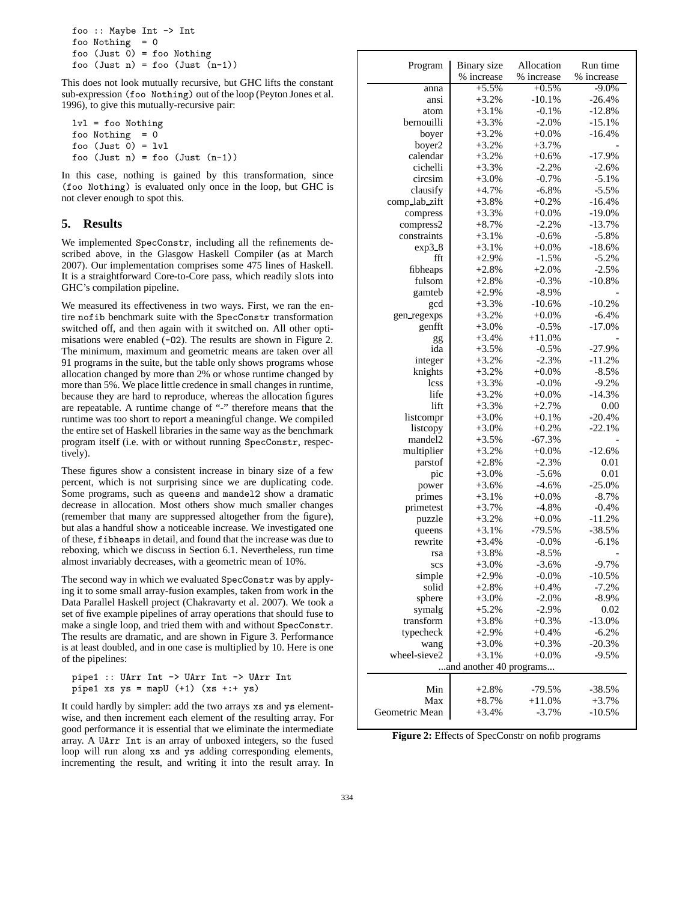```
foo :: Maybe Int -> Int
foo Nothing = 0foo (Just 0) = foo Nothing
foo (Just n) = foo (Just (n-1))
```
This does not look mutually recursive, but GHC lifts the constant sub-expression (foo Nothing) out of the loop (Peyton Jones et al. 1996), to give this mutually-recursive pair:

lvl = foo Nothing foo Nothing  $= 0$ foo  $(Just 0) = Iv1$ foo (Just n) = foo (Just (n-1))

In this case, nothing is gained by this transformation, since (foo Nothing) is evaluated only once in the loop, but GHC is not clever enough to spot this.

# **5. Results**

We implemented SpecConstr, including all the refinements described above, in the Glasgow Haskell Compiler (as at March 2007). Our implementation comprises some 475 lines of Haskell. It is a straightforward Core-to-Core pass, which readily slots into GHC's compilation pipeline.

We measured its effectiveness in two ways. First, we ran the entire nofib benchmark suite with the SpecConstr transformation switched off, and then again with it switched on. All other optimisations were enabled (-O2). The results are shown in Figure 2. The minimum, maximum and geometric means are taken over all 91 programs in the suite, but the table only shows programs whose allocation changed by more than 2% or whose runtime changed by more than 5%. We place little credence in small changes in runtime, because they are hard to reproduce, whereas the allocation figures are repeatable. A runtime change of "-" therefore means that the runtime was too short to report a meaningful change. We compiled the entire set of Haskell libraries in the same way as the benchmark program itself (i.e. with or without running SpecConstr, respectively).

These figures show a consistent increase in binary size of a few percent, which is not surprising since we are duplicating code. Some programs, such as queens and mandel2 show a dramatic decrease in allocation. Most others show much smaller changes (remember that many are suppressed altogether from the figure), but alas a handful show a noticeable increase. We investigated one of these, fibheaps in detail, and found that the increase was due to reboxing, which we discuss in Section 6.1. Nevertheless, run time almost invariably decreases, with a geometric mean of 10%.

The second way in which we evaluated SpecConstr was by applying it to some small array-fusion examples, taken from work in the Data Parallel Haskell project (Chakravarty et al. 2007). We took a set of five example pipelines of array operations that should fuse to make a single loop, and tried them with and without SpecConstr. The results are dramatic, and are shown in Figure 3. Performance is at least doubled, and in one case is multiplied by 10. Here is one of the pipelines:

```
pipe1 :: UArr Int -> UArr Int -> UArr Int
pipe1 xs ys = mapU (+1) (xs ++; + ys)
```
It could hardly by simpler: add the two arrays xs and ys elementwise, and then increment each element of the resulting array. For good performance it is essential that we eliminate the intermediate array. A UArr Int is an array of unboxed integers, so the fused loop will run along xs and ys adding corresponding elements, incrementing the result, and writing it into the result array. In

| Program                 | Binary size | Allocation | Run time            |  |  |  |
|-------------------------|-------------|------------|---------------------|--|--|--|
|                         | % increase  | % increase | % increase          |  |  |  |
| anna                    | $+5.5%$     | $+0.5%$    | $-9.0%$             |  |  |  |
| ansi                    | $+3.2%$     | $-10.1%$   | $-26.4%$            |  |  |  |
| atom                    | $+3.1%$     | $-0.1%$    | $-12.8%$            |  |  |  |
| bernouilli              | $+3.3%$     | $-2.0%$    | $-15.1%$            |  |  |  |
| boyer                   | $+3.2%$     | $+0.0%$    | $-16.4%$            |  |  |  |
| boyer2                  | $+3.2%$     | $+3.7%$    |                     |  |  |  |
| calendar                | $+3.2%$     | $+0.6\%$   | $-17.9%$            |  |  |  |
| cichelli                | $+3.3%$     | $-2.2%$    | $-2.6%$             |  |  |  |
| circsim                 | $+3.0%$     | $-0.7%$    | $-5.1%$             |  |  |  |
|                         |             | $-6.8%$    |                     |  |  |  |
| clausify                | $+4.7%$     |            | $-5.5%$<br>$-16.4%$ |  |  |  |
| comp_lab_zift           | $+3.8%$     | $+0.2%$    |                     |  |  |  |
| compress                | $+3.3%$     | $+0.0%$    | $-19.0%$            |  |  |  |
| compress2               | $+8.7%$     | $-2.2%$    | $-13.7%$            |  |  |  |
| constraints             | $+3.1%$     | $-0.6%$    | $-5.8%$             |  |  |  |
| exp38                   | $+3.1%$     | $+0.0%$    | $-18.6%$            |  |  |  |
| fft                     | $+2.9%$     | $-1.5%$    | $-5.2%$             |  |  |  |
| fibheaps                | $+2.8%$     | $+2.0%$    | $-2.5%$             |  |  |  |
| fulsom                  | $+2.8%$     | $-0.3%$    | $-10.8%$            |  |  |  |
| gamteb                  | $+2.9%$     | $-8.9%$    |                     |  |  |  |
| gcd                     | $+3.3%$     | $-10.6%$   | $-10.2%$            |  |  |  |
| gen_regexps             | $+3.2%$     | $+0.0%$    | $-6.4%$             |  |  |  |
| genfft                  | $+3.0%$     | $-0.5%$    | $-17.0\%$           |  |  |  |
| gg                      | $+3.4%$     | $+11.0%$   |                     |  |  |  |
| ida                     | $+3.5%$     | $-0.5%$    | $-27.9%$            |  |  |  |
| integer                 | $+3.2%$     | $-2.3%$    | $-11.2%$            |  |  |  |
| knights                 | $+3.2%$     | $+0.0%$    | $-8.5%$             |  |  |  |
| lcss                    | $+3.3%$     | $-0.0%$    | $-9.2%$             |  |  |  |
| life                    | $+3.2%$     | $+0.0\%$   | $-14.3%$            |  |  |  |
| lift                    | $+3.3%$     | $+2.7%$    | 0.00                |  |  |  |
| listcompr               | $+3.0%$     | $+0.1%$    | $-20.4%$            |  |  |  |
| listcopy                | $+3.0%$     | $+0.2%$    | $-22.1%$            |  |  |  |
| mandel <sub>2</sub>     | $+3.5%$     | $-67.3%$   |                     |  |  |  |
| multiplier              | $+3.2%$     | $+0.0%$    | $-12.6%$            |  |  |  |
| parstof                 | $+2.8%$     | $-2.3%$    | 0.01                |  |  |  |
| pic                     | $+3.0%$     | $-5.6%$    | 0.01                |  |  |  |
| power                   | $+3.6%$     | $-4.6%$    | $-25.0%$            |  |  |  |
| primes                  | $+3.1%$     | $+0.0%$    | $-8.7\%$            |  |  |  |
| primetest               | $+3.7%$     | $-4.8%$    | $-0.4%$             |  |  |  |
|                         | $+3.2%$     | $+0.0\%$   | $-11.2%$            |  |  |  |
| puzzle                  | $+3.1%$     | $-79.5%$   | $-38.5%$            |  |  |  |
| queens<br>rewrite       |             |            |                     |  |  |  |
|                         | $+3.4%$     | $-0.0\%$   | $-6.1%$             |  |  |  |
| rsa                     | $+3.8%$     | $-8.5%$    |                     |  |  |  |
| scs                     | $+3.0%$     | $-3.6%$    | $-9.7%$             |  |  |  |
| simple                  | $+2.9%$     | $-0.0%$    | $-10.5%$            |  |  |  |
| solid                   | $+2.8%$     | $+0.4%$    | $-7.2%$             |  |  |  |
| sphere                  | $+3.0%$     | $-2.0\%$   | $-8.9%$             |  |  |  |
| symalg                  | $+5.2%$     | $-2.9%$    | 0.02                |  |  |  |
| transform               | $+3.8%$     | $+0.3%$    | $-13.0%$            |  |  |  |
| typecheck               | $+2.9%$     | $+0.4%$    | $-6.2%$             |  |  |  |
| wang                    | $+3.0%$     | $+0.3%$    | $-20.3%$            |  |  |  |
| wheel-sieve2            | $+3.1%$     | $+0.0\%$   | $-9.5\%$            |  |  |  |
| and another 40 programs |             |            |                     |  |  |  |
|                         |             |            |                     |  |  |  |
| Min                     | $+2.8%$     | $-79.5%$   | $-38.5%$            |  |  |  |
| Max                     | $+8.7%$     | $+11.0%$   | $+3.7%$             |  |  |  |
| Geometric Mean          | $+3.4%$     | $-3.7%$    | $-10.5%$            |  |  |  |

**Figure 2:** Effects of SpecConstr on nofib programs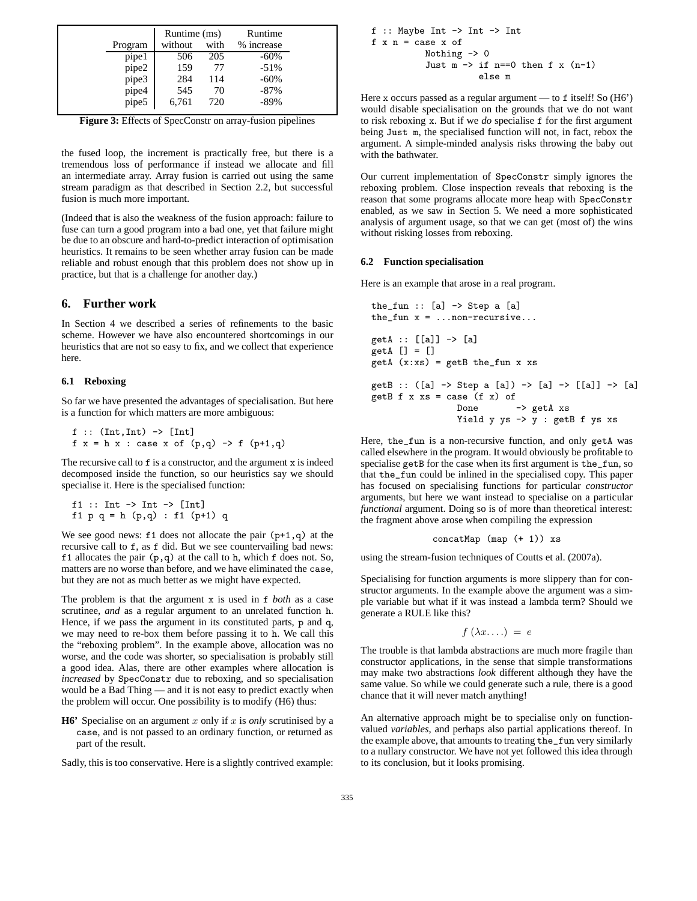|         | Runtime (ms) |      | Runtime    |
|---------|--------------|------|------------|
| Program | without      | with | % increase |
| pipe1   | 506          | 205  | $-60\%$    |
| pipe2   | 159          | 77   | $-51%$     |
| pipe3   | 284          | 114  | $-60\%$    |
| pipe4   | 545          | 70   | $-87\%$    |
| pipe5   | 6,761        | 720  | $-89%$     |

**Figure 3:** Effects of SpecConstr on array-fusion pipelines

the fused loop, the increment is practically free, but there is a tremendous loss of performance if instead we allocate and fill an intermediate array. Array fusion is carried out using the same stream paradigm as that described in Section 2.2, but successful fusion is much more important.

(Indeed that is also the weakness of the fusion approach: failure to fuse can turn a good program into a bad one, yet that failure might be due to an obscure and hard-to-predict interaction of optimisation heuristics. It remains to be seen whether array fusion can be made reliable and robust enough that this problem does not show up in practice, but that is a challenge for another day.)

## **6. Further work**

In Section 4 we described a series of refinements to the basic scheme. However we have also encountered shortcomings in our heuristics that are not so easy to fix, and we collect that experience here.

## **6.1 Reboxing**

So far we have presented the advantages of specialisation. But here is a function for which matters are more ambiguous:

```
f :: (Int,Int) -> [Int]
f x = h x : case x of (p,q) \rightarrow f (p+1,q)
```
The recursive call to  $f$  is a constructor, and the argument  $x$  is indeed decomposed inside the function, so our heuristics say we should specialise it. Here is the specialised function:

```
f1 :: Int \rightarrow Int \rightarrow [Int]
f1 p q = h (p,q) : f1 (p+1) q
```
We see good news:  $f1$  does not allocate the pair  $(p+1,q)$  at the recursive call to f, as f did. But we see countervailing bad news: f1 allocates the pair  $(p,q)$  at the call to h, which f does not. So, matters are no worse than before, and we have eliminated the case, but they are not as much better as we might have expected.

The problem is that the argument x is used in f *both* as a case scrutinee, *and* as a regular argument to an unrelated function h. Hence, if we pass the argument in its constituted parts, p and q, we may need to re-box them before passing it to h. We call this the "reboxing problem". In the example above, allocation was no worse, and the code was shorter, so specialisation is probably still a good idea. Alas, there are other examples where allocation is *increased* by SpecConstr due to reboxing, and so specialisation would be a Bad Thing — and it is not easy to predict exactly when the problem will occur. One possibility is to modify (H6) thus:

**H6'** Specialise on an argument x only if x is *only* scrutinised by a case, and is not passed to an ordinary function, or returned as part of the result.

Sadly, this is too conservative. Here is a slightly contrived example:

```
f :: Maybe Int -> Int -> Int
f \times n = \cose x of
            Nothing \rightarrow 0
            Just m \rightarrow if n==0 then f x (n-1)else m
```
Here x occurs passed as a regular argument — to f itself! So (H6') would disable specialisation on the grounds that we do not want to risk reboxing x. But if we *do* specialise f for the first argument being Just m, the specialised function will not, in fact, rebox the argument. A simple-minded analysis risks throwing the baby out with the bathwater.

Our current implementation of SpecConstr simply ignores the reboxing problem. Close inspection reveals that reboxing is the reason that some programs allocate more heap with SpecConstr enabled, as we saw in Section 5. We need a more sophisticated analysis of argument usage, so that we can get (most of) the wins without risking losses from reboxing.

## **6.2 Function specialisation**

Here is an example that arose in a real program.

```
the_fun :: [a] \rightarrow Step a [a]
the_fun x = ...non-recursive...
getA :: [[a]] -> [a]
getA [] = []getA (x:xs) = getB the_fun x xsgetB :: ([a] -> Step a [a]) -> [a] -> [[a]] -> [a]
getB f \times xs = case (f \times) ofDone -> getA xs
                Yield y ys -> y : getB f ys xs
```
Here, the\_fun is a non-recursive function, and only getA was called elsewhere in the program. It would obviously be profitable to specialise getB for the case when its first argument is the\_fun, so that the\_fun could be inlined in the specialised copy. This paper has focused on specialising functions for particular *constructor* arguments, but here we want instead to specialise on a particular *functional* argument. Doing so is of more than theoretical interest: the fragment above arose when compiling the expression

$$
concatMap (map (+ 1)) xs
$$

using the stream-fusion techniques of Coutts et al. (2007a).

Specialising for function arguments is more slippery than for constructor arguments. In the example above the argument was a simple variable but what if it was instead a lambda term? Should we generate a RULE like this?

$$
f(\lambda x...)=e
$$

The trouble is that lambda abstractions are much more fragile than constructor applications, in the sense that simple transformations may make two abstractions *look* different although they have the same value. So while we could generate such a rule, there is a good chance that it will never match anything!

An alternative approach might be to specialise only on functionvalued *variables*, and perhaps also partial applications thereof. In the example above, that amounts to treating the\_fun very similarly to a nullary constructor. We have not yet followed this idea through to its conclusion, but it looks promising.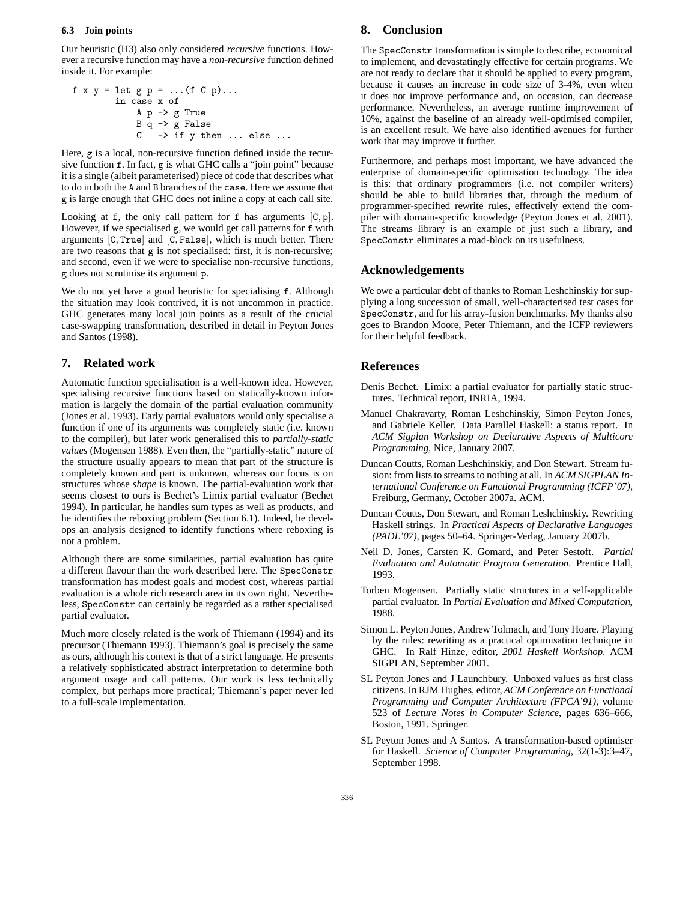## **6.3 Join points**

Our heuristic (H3) also only considered *recursive* functions. However a recursive function may have a *non-recursive* function defined inside it. For example:

$$
f x y = let g p = ... (f C p)...
$$
  
in case x of  

$$
A p \rightarrow g True
$$
  

$$
B q \rightarrow g False
$$
  

$$
C \rightarrow if y then ... else ...
$$

Here, g is a local, non-recursive function defined inside the recursive function f. In fact, g is what GHC calls a "join point" because it is a single (albeit parameterised) piece of code that describes what to do in both the A and B branches of the case. Here we assume that g is large enough that GHC does not inline a copy at each call site.

Looking at  $f$ , the only call pattern for  $f$  has arguments  $[C, p]$ . However, if we specialised g, we would get call patterns for f with arguments [C, True] and [C, False], which is much better. There are two reasons that g is not specialised: first, it is non-recursive; and second, even if we were to specialise non-recursive functions, g does not scrutinise its argument p.

We do not yet have a good heuristic for specialising f. Although the situation may look contrived, it is not uncommon in practice. GHC generates many local join points as a result of the crucial case-swapping transformation, described in detail in Peyton Jones and Santos (1998).

## **7. Related work**

Automatic function specialisation is a well-known idea. However, specialising recursive functions based on statically-known information is largely the domain of the partial evaluation community (Jones et al. 1993). Early partial evaluators would only specialise a function if one of its arguments was completely static (i.e. known to the compiler), but later work generalised this to *partially-static values* (Mogensen 1988). Even then, the "partially-static" nature of the structure usually appears to mean that part of the structure is completely known and part is unknown, whereas our focus is on structures whose *shape* is known. The partial-evaluation work that seems closest to ours is Bechet's Limix partial evaluator (Bechet 1994). In particular, he handles sum types as well as products, and he identifies the reboxing problem (Section 6.1). Indeed, he develops an analysis designed to identify functions where reboxing is not a problem.

Although there are some similarities, partial evaluation has quite a different flavour than the work described here. The SpecConstr transformation has modest goals and modest cost, whereas partial evaluation is a whole rich research area in its own right. Nevertheless, SpecConstr can certainly be regarded as a rather specialised partial evaluator.

Much more closely related is the work of Thiemann (1994) and its precursor (Thiemann 1993). Thiemann's goal is precisely the same as ours, although his context is that of a strict language. He presents a relatively sophisticated abstract interpretation to determine both argument usage and call patterns. Our work is less technically complex, but perhaps more practical; Thiemann's paper never led to a full-scale implementation.

# **8. Conclusion**

The SpecConstr transformation is simple to describe, economical to implement, and devastatingly effective for certain programs. We are not ready to declare that it should be applied to every program, because it causes an increase in code size of 3-4%, even when it does not improve performance and, on occasion, can decrease performance. Nevertheless, an average runtime improvement of 10%, against the baseline of an already well-optimised compiler, is an excellent result. We have also identified avenues for further work that may improve it further.

Furthermore, and perhaps most important, we have advanced the enterprise of domain-specific optimisation technology. The idea is this: that ordinary programmers (i.e. not compiler writers) should be able to build libraries that, through the medium of programmer-specified rewrite rules, effectively extend the compiler with domain-specific knowledge (Peyton Jones et al. 2001). The streams library is an example of just such a library, and SpecConstr eliminates a road-block on its usefulness.

## **Acknowledgements**

We owe a particular debt of thanks to Roman Leshchinskiy for supplying a long succession of small, well-characterised test cases for SpecConstr, and for his array-fusion benchmarks. My thanks also goes to Brandon Moore, Peter Thiemann, and the ICFP reviewers for their helpful feedback.

## **References**

- Denis Bechet. Limix: a partial evaluator for partially static structures. Technical report, INRIA, 1994.
- Manuel Chakravarty, Roman Leshchinskiy, Simon Peyton Jones, and Gabriele Keller. Data Parallel Haskell: a status report. In *ACM Sigplan Workshop on Declarative Aspects of Multicore Programming*, Nice, January 2007.
- Duncan Coutts, Roman Leshchinskiy, and Don Stewart. Stream fusion: from lists to streams to nothing at all. In *ACM SIGPLAN International Conference on Functional Programming (ICFP'07)*, Freiburg, Germany, October 2007a. ACM.
- Duncan Coutts, Don Stewart, and Roman Leshchinskiy. Rewriting Haskell strings. In *Practical Aspects of Declarative Languages (PADL'07)*, pages 50–64. Springer-Verlag, January 2007b.
- Neil D. Jones, Carsten K. Gomard, and Peter Sestoft. *Partial Evaluation and Automatic Program Generation*. Prentice Hall, 1993.
- Torben Mogensen. Partially static structures in a self-applicable partial evaluator. In *Partial Evaluation and Mixed Computation*, 1988.
- Simon L. Peyton Jones, Andrew Tolmach, and Tony Hoare. Playing by the rules: rewriting as a practical optimisation technique in GHC. In Ralf Hinze, editor, *2001 Haskell Workshop*. ACM SIGPLAN, September 2001.
- SL Peyton Jones and J Launchbury. Unboxed values as first class citizens. In RJM Hughes, editor, *ACM Conference on Functional Programming and Computer Architecture (FPCA'91)*, volume 523 of *Lecture Notes in Computer Science*, pages 636–666, Boston, 1991. Springer.
- SL Peyton Jones and A Santos. A transformation-based optimiser for Haskell. *Science of Computer Programming*, 32(1-3):3–47, September 1998.